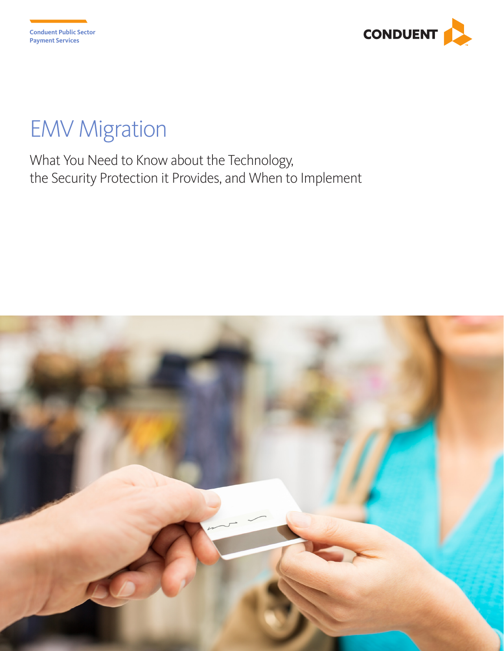

# EMV Migration

What You Need to Know about the Technology, the Security Protection it Provides, and When to Implement

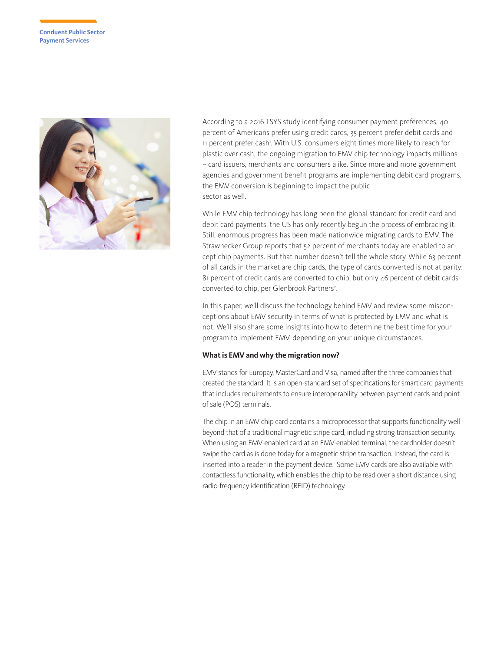

According to a 2016 TSYS study identifying consumer payment preferences, 40 percent of Americans prefer using credit cards, 35 percent prefer debit cards and 11 percent prefer cash'. With U.S. consumers eight times more likely to reach for plastic over cash, the ongoing migration to EMV chip technology impacts millions – card issuers, merchants and consumers alike. Since more and more government agencies and government benefit programs are implementing debit card programs, the EMV conversion is beginning to impact the public sector as well.

While EMV chip technology has long been the global standard for credit card and debit card payments, the US has only recently begun the process of embracing it. Still, enormous progress has been made nationwide migrating cards to EMV. The Strawhecker Group reports that 52 percent of merchants today are enabled to accept chip payments. But that number doesn't tell the whole story. While 63 percent of all cards in the market are chip cards, the type of cards converted is not at parity: 81 percent of credit cards are converted to chip, but only 46 percent of debit cards converted to chip, per Glenbrook Partners<sup>2</sup>. .

In this paper, we'll discuss the technology behind EMV and review some misconceptions about EMV security in terms of what is protected by EMV and what is not. We'll also share some insights into how to determine the best time for your program to implement EMV, depending on your unique circumstances.

## **What is EMV and why the migration now?**

EMV stands for Europay, MasterCard and Visa, named after the three companies that created the standard. It is an open-standard set of specifications for smart card payments that includes requirements to ensure interoperability between payment cards and point of sale (POS) terminals.

The chip in an EMV chip card contains a microprocessor that supports functionality well beyond that of a traditional magnetic stripe card, including strong transaction security. When using an EMV-enabled card at an EMV-enabled terminal, the cardholder doesn't swipe the card as is done today for a magnetic stripe transaction. Instead, the card is inserted into a reader in the payment device. Some EMV cards are also available with contactless functionality, which enables the chip to be read over a short distance using radio-frequency identification (RFID) technology.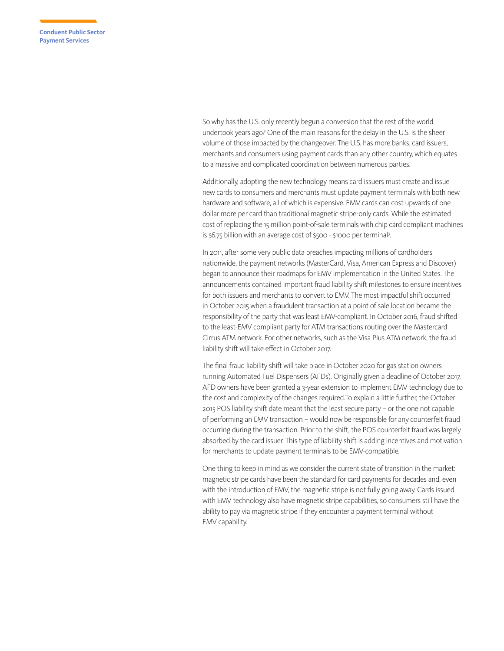So why has the U.S. only recently begun a conversion that the rest of the world undertook years ago? One of the main reasons for the delay in the U.S. is the sheer volume of those impacted by the changeover. The U.S. has more banks, card issuers, merchants and consumers using payment cards than any other country, which equates to a massive and complicated coordination between numerous parties.

Additionally, adopting the new technology means card issuers must create and issue new cards to consumers and merchants must update payment terminals with both new hardware and software, all of which is expensive. EMV cards can cost upwards of one dollar more per card than traditional magnetic stripe-only cards. While the estimated cost of replacing the 15 million point-of-sale terminals with chip card compliant machines is \$6.75 billion with an average cost of \$500 - \$1000 per terminal<sup>3</sup>. .

In 2011, after some very public data breaches impacting millions of cardholders nationwide, the payment networks (MasterCard, Visa, American Express and Discover) began to announce their roadmaps for EMV implementation in the United States. The announcements contained important fraud liability shift milestones to ensure incentives for both issuers and merchants to convert to EMV. The most impactful shift occurred in October 2015 when a fraudulent transaction at a point of sale location became the responsibility of the party that was least EMV-compliant. In October 2016, fraud shifted to the least-EMV compliant party for ATM transactions routing over the Mastercard Cirrus ATM network. For other networks, such as the Visa Plus ATM network, the fraud liability shift will take effect in October 2017.

The final fraud liability shift will take place in October 2020 for gas station owners running Automated Fuel Dispensers (AFDs). Originally given a deadline of October 2017, AFD owners have been granted a 3-year extension to implement EMV technology due to the cost and complexity of the changes required.To explain a little further, the October 2015 POS liability shift date meant that the least secure party – or the one not capable of performing an EMV transaction – would now be responsible for any counterfeit fraud occurring during the transaction. Prior to the shift, the POS counterfeit fraud was largely absorbed by the card issuer. This type of liability shift is adding incentives and motivation for merchants to update payment terminals to be EMV-compatible.

One thing to keep in mind as we consider the current state of transition in the market: magnetic stripe cards have been the standard for card payments for decades and, even with the introduction of EMV, the magnetic stripe is not fully going away. Cards issued with EMV technology also have magnetic stripe capabilities, so consumers still have the ability to pay via magnetic stripe if they encounter a payment terminal without EMV capability.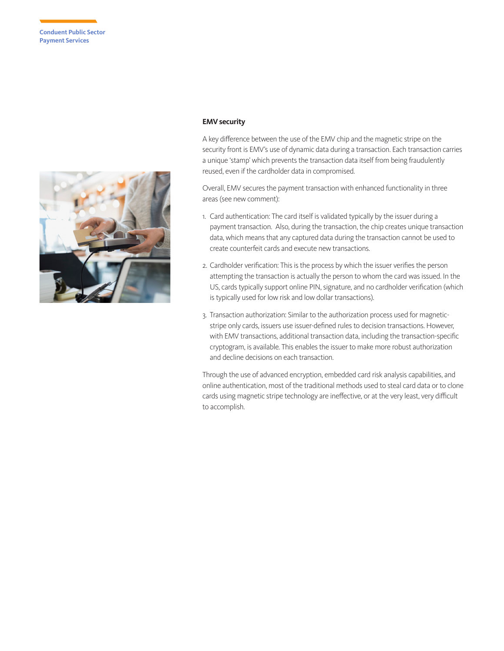

## **EMV security**

A key difference between the use of the EMV chip and the magnetic stripe on the security front is EMV's use of dynamic data during a transaction. Each transaction carries a unique 'stamp' which prevents the transaction data itself from being fraudulently reused, even if the cardholder data in compromised.

Overall, EMV secures the payment transaction with enhanced functionality in three areas (see new comment):

- 1. Card authentication: The card itself is validated typically by the issuer during a payment transaction. Also, during the transaction, the chip creates unique transaction data, which means that any captured data during the transaction cannot be used to create counterfeit cards and execute new transactions.
- 2. Cardholder verification: This is the process by which the issuer verifies the person attempting the transaction is actually the person to whom the card was issued. In the US, cards typically support online PIN, signature, and no cardholder verification (which is typically used for low risk and low dollar transactions).
- 3. Transaction authorization: Similar to the authorization process used for magneticstripe only cards, issuers use issuer-defined rules to decision transactions. However, with EMV transactions, additional transaction data, including the transaction-specific cryptogram, is available. This enables the issuer to make more robust authorization and decline decisions on each transaction.

Through the use of advanced encryption, embedded card risk analysis capabilities, and online authentication, most of the traditional methods used to steal card data or to clone cards using magnetic stripe technology are ineffective, or at the very least, very difficult to accomplish.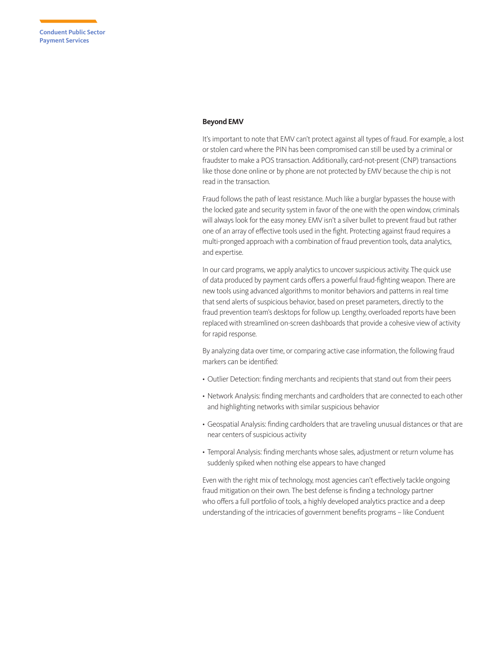#### **Beyond EMV**

It's important to note that EMV can't protect against all types of fraud. For example, a lost or stolen card where the PIN has been compromised can still be used by a criminal or fraudster to make a POS transaction. Additionally, card-not-present (CNP) transactions like those done online or by phone are not protected by EMV because the chip is not read in the transaction.

Fraud follows the path of least resistance. Much like a burglar bypasses the house with the locked gate and security system in favor of the one with the open window, criminals will always look for the easy money. EMV isn't a silver bullet to prevent fraud but rather one of an array of effective tools used in the fight. Protecting against fraud requires a multi-pronged approach with a combination of fraud prevention tools, data analytics, and expertise.

In our card programs, we apply analytics to uncover suspicious activity. The quick use of data produced by payment cards offers a powerful fraud-fighting weapon. There are new tools using advanced algorithms to monitor behaviors and patterns in real time that send alerts of suspicious behavior, based on preset parameters, directly to the fraud prevention team's desktops for follow up. Lengthy, overloaded reports have been replaced with streamlined on-screen dashboards that provide a cohesive view of activity for rapid response.

By analyzing data over time, or comparing active case information, the following fraud markers can be identified:

- Outlier Detection: finding merchants and recipients that stand out from their peers
- Network Analysis: finding merchants and cardholders that are connected to each other and highlighting networks with similar suspicious behavior
- Geospatial Analysis: finding cardholders that are traveling unusual distances or that are near centers of suspicious activity
- Temporal Analysis: finding merchants whose sales, adjustment or return volume has suddenly spiked when nothing else appears to have changed

Even with the right mix of technology, most agencies can't effectively tackle ongoing fraud mitigation on their own. The best defense is finding a technology partner who offers a full portfolio of tools, a highly developed analytics practice and a deep understanding of the intricacies of government benefits programs – like Conduent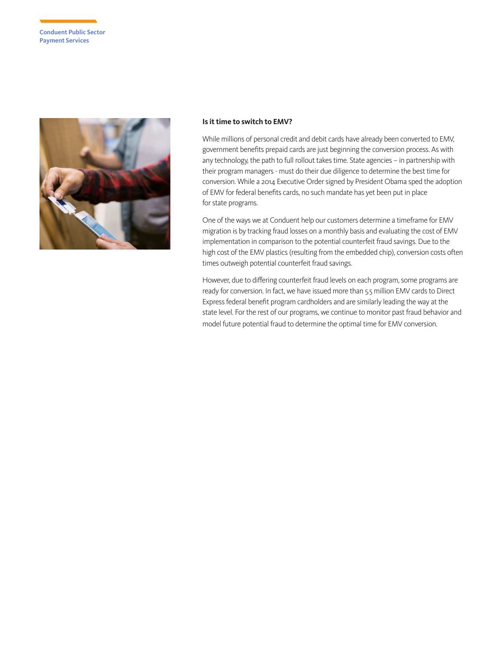

### **Is it time to switch to EMV?**

While millions of personal credit and debit cards have already been converted to EMV, government benefits prepaid cards are just beginning the conversion process. As with any technology, the path to full rollout takes time. State agencies – in partnership with their program managers - must do their due diligence to determine the best time for conversion. While a 2014 Executive Order signed by President Obama sped the adoption of EMV for federal benefits cards, no such mandate has yet been put in place for state programs.

One of the ways we at Conduent help our customers determine a timeframe for EMV migration is by tracking fraud losses on a monthly basis and evaluating the cost of EMV implementation in comparison to the potential counterfeit fraud savings. Due to the high cost of the EMV plastics (resulting from the embedded chip), conversion costs often times outweigh potential counterfeit fraud savings.

However, due to differing counterfeit fraud levels on each program, some programs are ready for conversion. In fact, we have issued more than 5.5 million EMV cards to Direct Express federal benefit program cardholders and are similarly leading the way at the state level. For the rest of our programs, we continue to monitor past fraud behavior and model future potential fraud to determine the optimal time for EMV conversion.